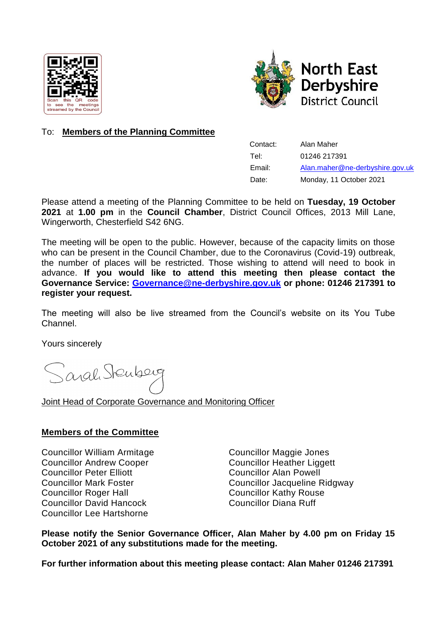



# To: **Members of the Planning Committee**

| Contact: | Alan Maher                      |
|----------|---------------------------------|
| Tel:     | 01246 217391                    |
| Email:   | Alan.maher@ne-derbyshire.gov.uk |
| Date:    | Monday, 11 October 2021         |

Please attend a meeting of the Planning Committee to be held on **Tuesday, 19 October 2021** at **1.00 pm** in the **Council Chamber**, District Council Offices, 2013 Mill Lane, Wingerworth, Chesterfield S42 6NG.

The meeting will be open to the public. However, because of the capacity limits on those who can be present in the Council Chamber, due to the Coronavirus (Covid-19) outbreak, the number of places will be restricted. Those wishing to attend will need to book in advance. **If you would like to attend this meeting then please contact the Governance Service: [Governance@ne-derbyshire.gov.uk](mailto:Governance@ne-derbyshire.gov.uk) or phone: 01246 217391 to register your request.**

The meeting will also be live streamed from the Council's website on its You Tube Channel.

Yours sincerely

Sarah Stenberg

Joint Head of Corporate Governance and Monitoring Officer

### **Members of the Committee**

Councillor William Armitage Councillor Maggie Jones Councillor Andrew Cooper Councillor Heather Liggett Councillor Peter Elliott Councillor Alan Powell Councillor Roger Hall **Councillor Kathy Rouse** Councillor David Hancock Councillor Diana Ruff Councillor Lee Hartshorne

Councillor Mark Foster Councillor Jacqueline Ridgway

**Please notify the Senior Governance Officer, Alan Maher by 4.00 pm on Friday 15 October 2021 of any substitutions made for the meeting.**

**For further information about this meeting please contact: Alan Maher 01246 217391**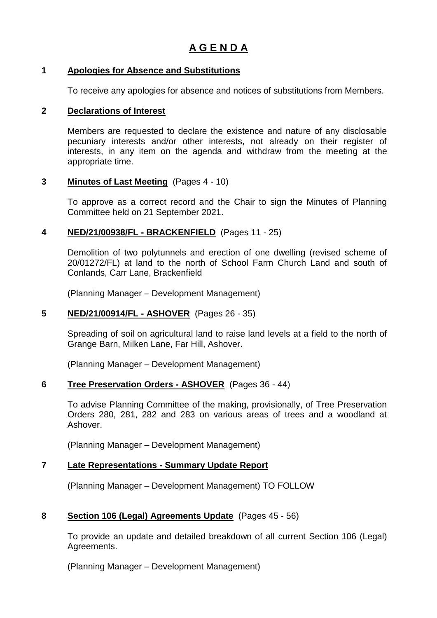### **1 Apologies for Absence and Substitutions**

To receive any apologies for absence and notices of substitutions from Members.

#### **2 Declarations of Interest**

Members are requested to declare the existence and nature of any disclosable pecuniary interests and/or other interests, not already on their register of interests, in any item on the agenda and withdraw from the meeting at the appropriate time.

#### **3 Minutes of Last Meeting** (Pages 4 - 10)

To approve as a correct record and the Chair to sign the Minutes of Planning Committee held on 21 September 2021.

### **4 NED/21/00938/FL - BRACKENFIELD** (Pages 11 - 25)

Demolition of two polytunnels and erection of one dwelling (revised scheme of 20/01272/FL) at land to the north of School Farm Church Land and south of Conlands, Carr Lane, Brackenfield

(Planning Manager – Development Management)

### **5 NED/21/00914/FL - ASHOVER** (Pages 26 - 35)

Spreading of soil on agricultural land to raise land levels at a field to the north of Grange Barn, Milken Lane, Far Hill, Ashover.

(Planning Manager – Development Management)

#### **6 Tree Preservation Orders - ASHOVER** (Pages 36 - 44)

To advise Planning Committee of the making, provisionally, of Tree Preservation Orders 280, 281, 282 and 283 on various areas of trees and a woodland at Ashover.

(Planning Manager – Development Management)

### **7 Late Representations - Summary Update Report**

(Planning Manager – Development Management) TO FOLLOW

#### **8 Section 106 (Legal) Agreements Update** (Pages 45 - 56)

To provide an update and detailed breakdown of all current Section 106 (Legal) Agreements.

(Planning Manager – Development Management)